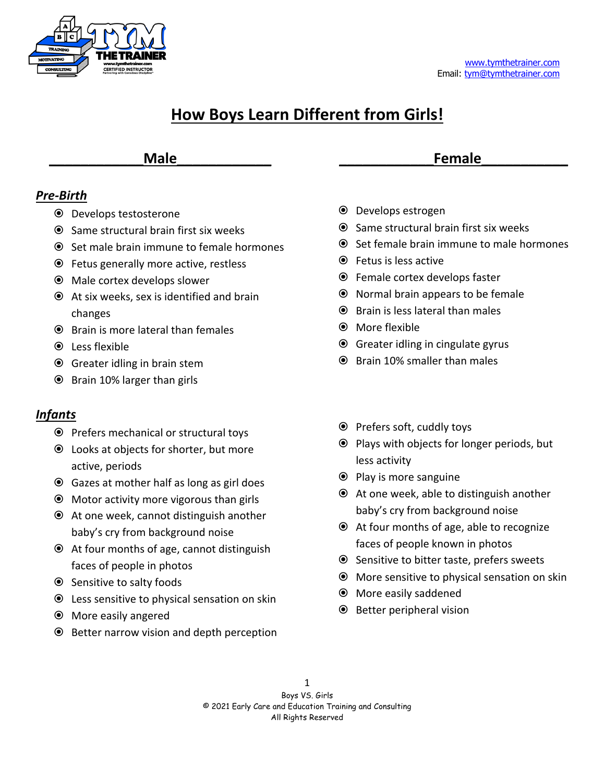

# **How Boys Learn Different from Girls!**

# **\_\_\_\_\_\_\_\_\_\_\_\_Male\_\_\_\_\_\_\_\_\_\_\_\_**

# *Pre-Birth*

- Develops testosterone
- $\odot$  Same structural brain first six weeks
- **■** Set male brain immune to female hormones
- Fetus generally more active, restless
- Male cortex develops slower
- At six weeks, sex is identified and brain changes
- $\odot$  Brain is more lateral than females
- **■** Less flexible
- Greater idling in brain stem
- Brain 10% larger than girls

# *Infants*

- Prefers mechanical or structural toys
- Looks at objects for shorter, but more active, periods
- Gazes at mother half as long as girl does
- Motor activity more vigorous than girls
- At one week, cannot distinguish another baby's cry from background noise
- At four months of age, cannot distinguish faces of people in photos
- Sensitive to salty foods
- Less sensitive to physical sensation on skin
- More easily angered
- Better narrow vision and depth perception
- Develops estrogen
- $\odot$  Same structural brain first six weeks
- **■** Set female brain immune to male hormones

**\_\_\_\_\_\_\_\_\_\_\_\_Female\_\_\_\_\_\_\_\_\_\_\_**

- Fetus is less active
- Female cortex develops faster
- Normal brain appears to be female
- $\odot$  Brain is less lateral than males
- More flexible
- Greater idling in cingulate gyrus
- Brain 10% smaller than males
- $\odot$  Prefers soft, cuddly toys
- $\odot$  Plays with objects for longer periods, but less activity
- Play is more sanguine
- At one week, able to distinguish another baby's cry from background noise
- At four months of age, able to recognize faces of people known in photos
- $\odot$  Sensitive to bitter taste, prefers sweets
- More sensitive to physical sensation on skin
- More easily saddened
- $\odot$  Better peripheral vision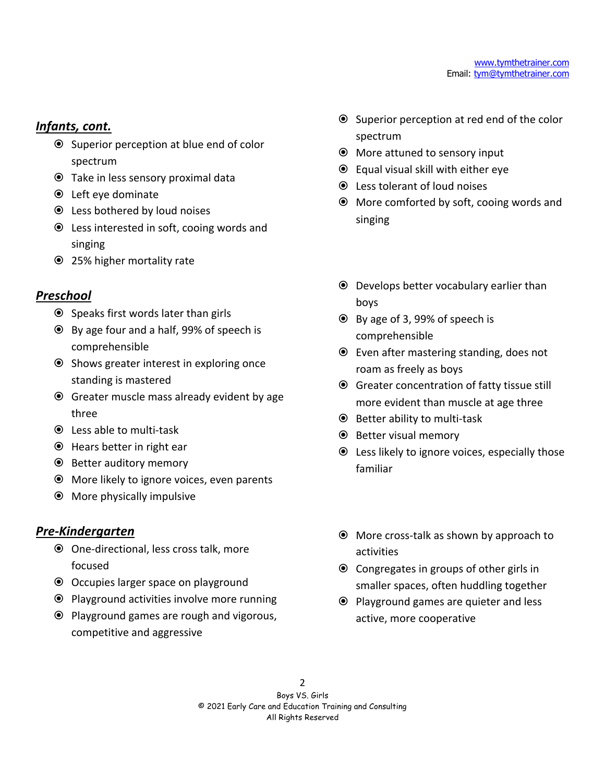#### *Infants, cont.*

- Superior perception at blue end of color spectrum
- Take in less sensory proximal data
- Left eye dominate
- Less bothered by loud noises
- Less interested in soft, cooing words and singing
- 25% higher mortality rate

# *Preschool*

- $\odot$  Speaks first words later than girls
- By age four and a half, 99% of speech is comprehensible
- Shows greater interest in exploring once standing is mastered
- Greater muscle mass already evident by age three
- Less able to multi-task
- Hears better in right ear
- Better auditory memory
- More likely to ignore voices, even parents
- More physically impulsive

# *Pre-Kindergarten*

- One-directional, less cross talk, more focused
- Occupies larger space on playground
- $\odot$  Playground activities involve more running
- Playground games are rough and vigorous, competitive and aggressive
- Superior perception at red end of the color spectrum
- More attuned to sensory input
- Equal visual skill with either eye
- Less tolerant of loud noises
- More comforted by soft, cooing words and singing
- Develops better vocabulary earlier than boys
- By age of 3, 99% of speech is comprehensible
- Even after mastering standing, does not roam as freely as boys
- Greater concentration of fatty tissue still more evident than muscle at age three
- $\odot$  Better ability to multi-task
- Better visual memory
- Less likely to ignore voices, especially those familiar
- More cross-talk as shown by approach to activities
- Congregates in groups of other girls in smaller spaces, often huddling together
- Playground games are quieter and less active, more cooperative